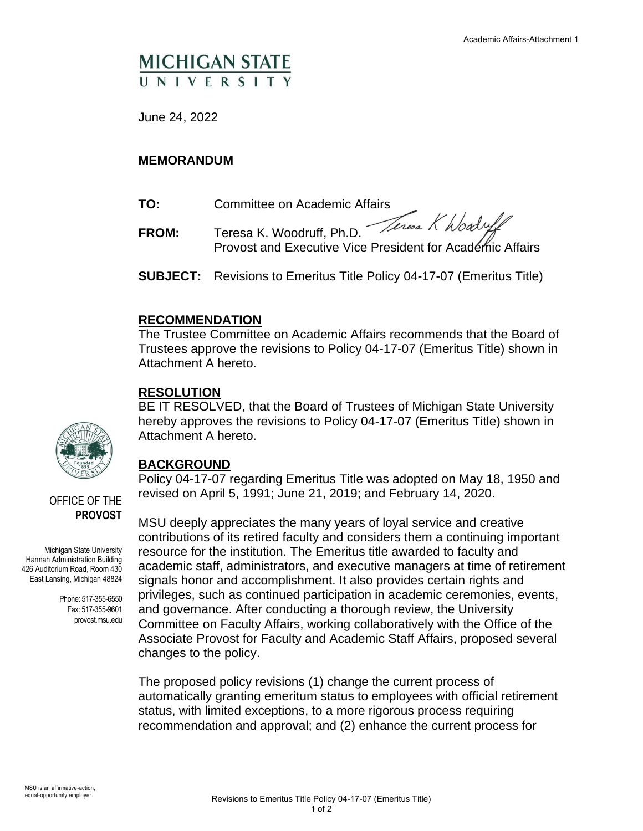# **MICHIGAN STATE** UNIVERSIT

June 24, 2022

#### **MEMORANDUM**

- **TO:** Committee on Academic Affairs
- FROM: Teresa K. Woodruff, Ph.D. Teresa K hbaduff Provost and Executive Vice President for Academic Affairs
- **SUBJECT:** Revisions to Emeritus Title Policy 04-17-07 (Emeritus Title)

#### **RECOMMENDATION**

The Trustee Committee on Academic Affairs recommends that the Board of Trustees approve the revisions to Policy 04-17-07 (Emeritus Title) shown in Attachment A hereto.

#### **RESOLUTION**

BE IT RESOLVED, that the Board of Trustees of Michigan State University hereby approves the revisions to Policy 04-17-07 (Emeritus Title) shown in Attachment A hereto.

## **BACKGROUND**

Policy 04-17-07 regarding Emeritus Title was adopted on May 18, 1950 and revised on April 5, 1991; June 21, 2019; and February 14, 2020.

MSU deeply appreciates the many years of loyal service and creative contributions of its retired faculty and considers them a continuing important resource for the institution. The Emeritus title awarded to faculty and academic staff, administrators, and executive managers at time of retirement signals honor and accomplishment. It also provides certain rights and privileges, such as continued participation in academic ceremonies, events, and governance. After conducting a thorough review, the University Committee on Faculty Affairs, working collaboratively with the Office of the Associate Provost for Faculty and Academic Staff Affairs, proposed several changes to the policy.

The proposed policy revisions (1) change the current process of automatically granting emeritum status to employees with official retirement status, with limited exceptions, to a more rigorous process requiring recommendation and approval; and (2) enhance the current process for



OFFICE OF THE **PROVOST**

Michigan State University Hannah Administration Building 426 Auditorium Road, Room 430 East Lansing, Michigan 48824

> Phone: 517-355-6550 Fax: 517-355-9601 provost.msu.edu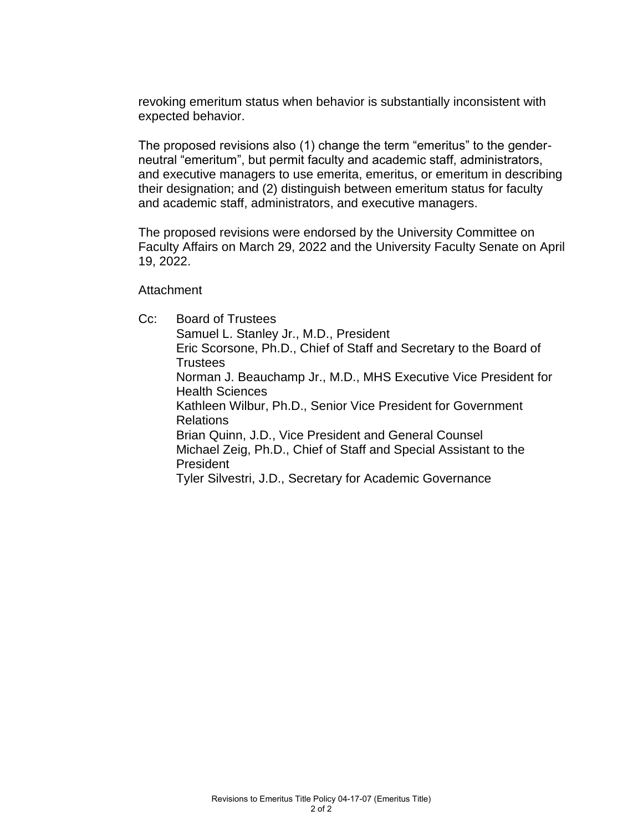revoking emeritum status when behavior is substantially inconsistent with expected behavior.

The proposed revisions also (1) change the term "emeritus" to the genderneutral "emeritum", but permit faculty and academic staff, administrators, and executive managers to use emerita, emeritus, or emeritum in describing their designation; and (2) distinguish between emeritum status for faculty and academic staff, administrators, and executive managers.

The proposed revisions were endorsed by the University Committee on Faculty Affairs on March 29, 2022 and the University Faculty Senate on April 19, 2022.

**Attachment** 

Cc: Board of Trustees Samuel L. Stanley Jr., M.D., President Eric Scorsone, Ph.D., Chief of Staff and Secretary to the Board of **Trustees** Norman J. Beauchamp Jr., M.D., MHS Executive Vice President for Health Sciences Kathleen Wilbur, Ph.D., Senior Vice President for Government Relations Brian Quinn, J.D., Vice President and General Counsel Michael Zeig, Ph.D., Chief of Staff and Special Assistant to the President Tyler Silvestri, J.D., Secretary for Academic Governance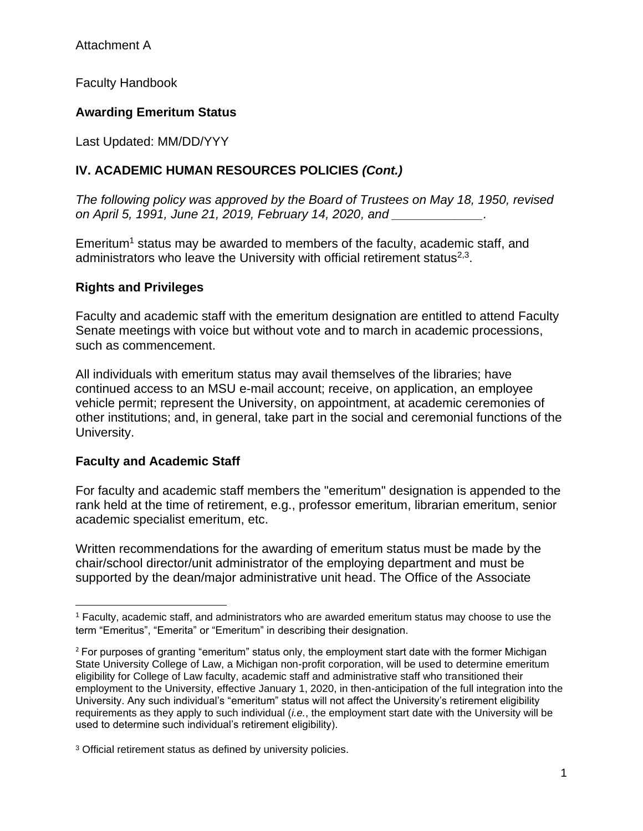Attachment A

Faculty Handbook

## **Awarding Emeritum Status**

Last Updated: MM/DD/YYY

## **IV. ACADEMIC HUMAN RESOURCES POLICIES** *(Cont.)*

*The following policy was approved by the Board of Trustees on May 18, 1950, revised on April 5, 1991, June 21, 2019, February 14, 2020, and \_\_\_\_\_\_\_\_\_\_\_\_\_.*

Emeritum<sup>1</sup> status may be awarded to members of the faculty, academic staff, and administrators who leave the University with official retirement status $2,3$ .

#### **Rights and Privileges**

Faculty and academic staff with the emeritum designation are entitled to attend Faculty Senate meetings with voice but without vote and to march in academic processions, such as commencement.

All individuals with emeritum status may avail themselves of the libraries; have continued access to an MSU e-mail account; receive, on application, an employee vehicle permit; represent the University, on appointment, at academic ceremonies of other institutions; and, in general, take part in the social and ceremonial functions of the University.

## **Faculty and Academic Staff**

For faculty and academic staff members the "emeritum" designation is appended to the rank held at the time of retirement, e.g., professor emeritum, librarian emeritum, senior academic specialist emeritum, etc.

Written recommendations for the awarding of emeritum status must be made by the chair/school director/unit administrator of the employing department and must be supported by the dean/major administrative unit head. The Office of the Associate

<sup>1</sup> Faculty, academic staff, and administrators who are awarded emeritum status may choose to use the term "Emeritus", "Emerita" or "Emeritum" in describing their designation.

<sup>&</sup>lt;sup>2</sup> For purposes of granting "emeritum" status only, the employment start date with the former Michigan State University College of Law, a Michigan non-profit corporation, will be used to determine emeritum eligibility for College of Law faculty, academic staff and administrative staff who transitioned their employment to the University, effective January 1, 2020, in then-anticipation of the full integration into the University. Any such individual's "emeritum" status will not affect the University's retirement eligibility requirements as they apply to such individual (*i.e.*, the employment start date with the University will be used to determine such individual's retirement eligibility).

<sup>&</sup>lt;sup>3</sup> Official retirement status as defined by university policies.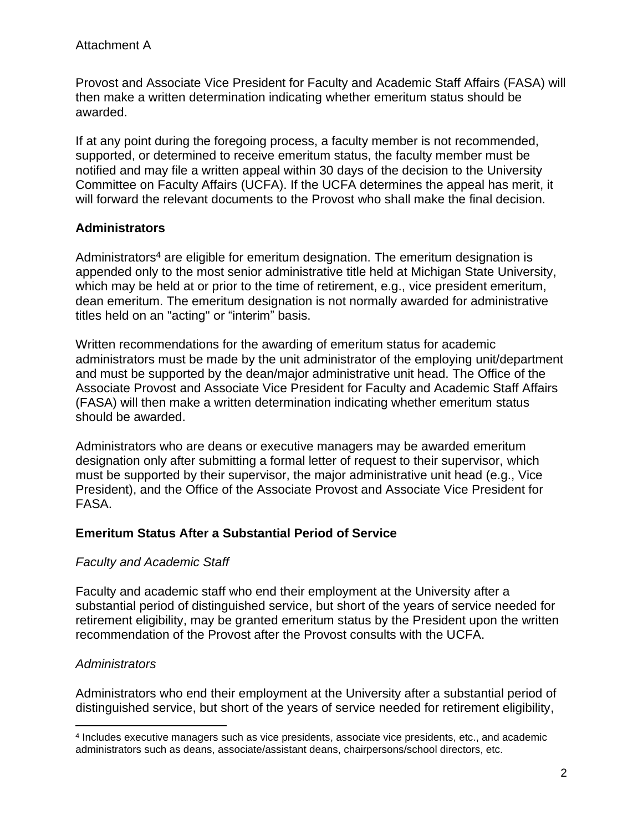Attachment A

Provost and Associate Vice President for Faculty and Academic Staff Affairs (FASA) will then make a written determination indicating whether emeritum status should be awarded.

If at any point during the foregoing process, a faculty member is not recommended, supported, or determined to receive emeritum status, the faculty member must be notified and may file a written appeal within 30 days of the decision to the University Committee on Faculty Affairs (UCFA). If the UCFA determines the appeal has merit, it will forward the relevant documents to the Provost who shall make the final decision.

## **Administrators**

Administrators<sup>4</sup> are eligible for emeritum designation. The emeritum designation is appended only to the most senior administrative title held at Michigan State University, which may be held at or prior to the time of retirement, e.g., vice president emeritum, dean emeritum. The emeritum designation is not normally awarded for administrative titles held on an "acting" or "interim" basis.

Written recommendations for the awarding of emeritum status for academic administrators must be made by the unit administrator of the employing unit/department and must be supported by the dean/major administrative unit head. The Office of the Associate Provost and Associate Vice President for Faculty and Academic Staff Affairs (FASA) will then make a written determination indicating whether emeritum status should be awarded.

Administrators who are deans or executive managers may be awarded emeritum designation only after submitting a formal letter of request to their supervisor, which must be supported by their supervisor, the major administrative unit head (e.g., Vice President), and the Office of the Associate Provost and Associate Vice President for FASA.

#### **Emeritum Status After a Substantial Period of Service**

## *Faculty and Academic Staff*

Faculty and academic staff who end their employment at the University after a substantial period of distinguished service, but short of the years of service needed for retirement eligibility, may be granted emeritum status by the President upon the written recommendation of the Provost after the Provost consults with the UCFA.

## *Administrators*

Administrators who end their employment at the University after a substantial period of distinguished service, but short of the years of service needed for retirement eligibility,

<sup>4</sup> Includes executive managers such as vice presidents, associate vice presidents, etc., and academic administrators such as deans, associate/assistant deans, chairpersons/school directors, etc.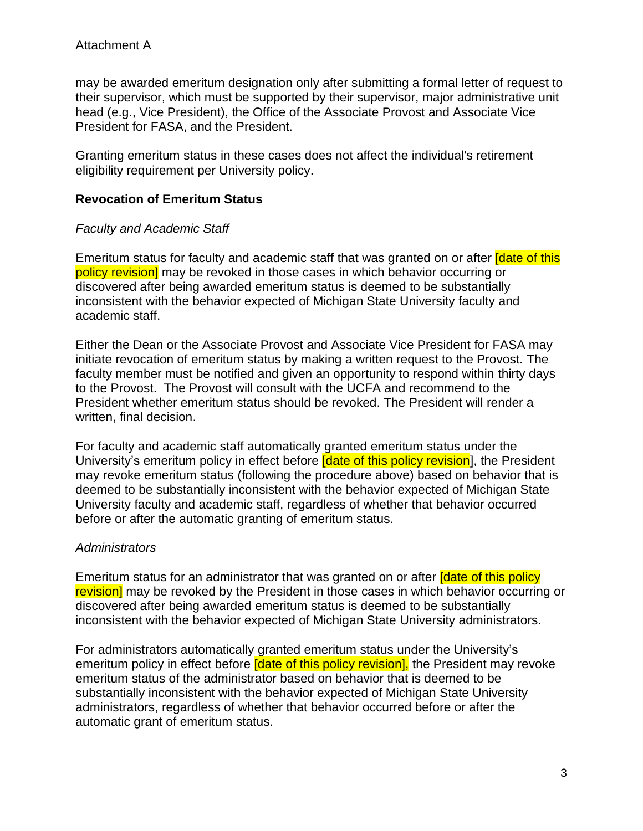may be awarded emeritum designation only after submitting a formal letter of request to their supervisor, which must be supported by their supervisor, major administrative unit head (e.g., Vice President), the Office of the Associate Provost and Associate Vice President for FASA, and the President.

Granting emeritum status in these cases does not affect the individual's retirement eligibility requirement per University policy.

#### **Revocation of Emeritum Status**

#### *Faculty and Academic Staff*

Emeritum status for faculty and academic staff that was granted on or after **[date of this**] policy revision] may be revoked in those cases in which behavior occurring or discovered after being awarded emeritum status is deemed to be substantially inconsistent with the behavior expected of Michigan State University faculty and academic staff.

Either the Dean or the Associate Provost and Associate Vice President for FASA may initiate revocation of emeritum status by making a written request to the Provost. The faculty member must be notified and given an opportunity to respond within thirty days to the Provost. The Provost will consult with the UCFA and recommend to the President whether emeritum status should be revoked. The President will render a written, final decision.

For faculty and academic staff automatically granted emeritum status under the University's emeritum policy in effect before **[date of this policy revision**], the President may revoke emeritum status (following the procedure above) based on behavior that is deemed to be substantially inconsistent with the behavior expected of Michigan State University faculty and academic staff, regardless of whether that behavior occurred before or after the automatic granting of emeritum status.

#### *Administrators*

Emeritum status for an administrator that was granted on or after **[date of this policy** revision] may be revoked by the President in those cases in which behavior occurring or discovered after being awarded emeritum status is deemed to be substantially inconsistent with the behavior expected of Michigan State University administrators.

For administrators automatically granted emeritum status under the University's emeritum policy in effect before **[date of this policy revision]**, the President may revoke emeritum status of the administrator based on behavior that is deemed to be substantially inconsistent with the behavior expected of Michigan State University administrators, regardless of whether that behavior occurred before or after the automatic grant of emeritum status.